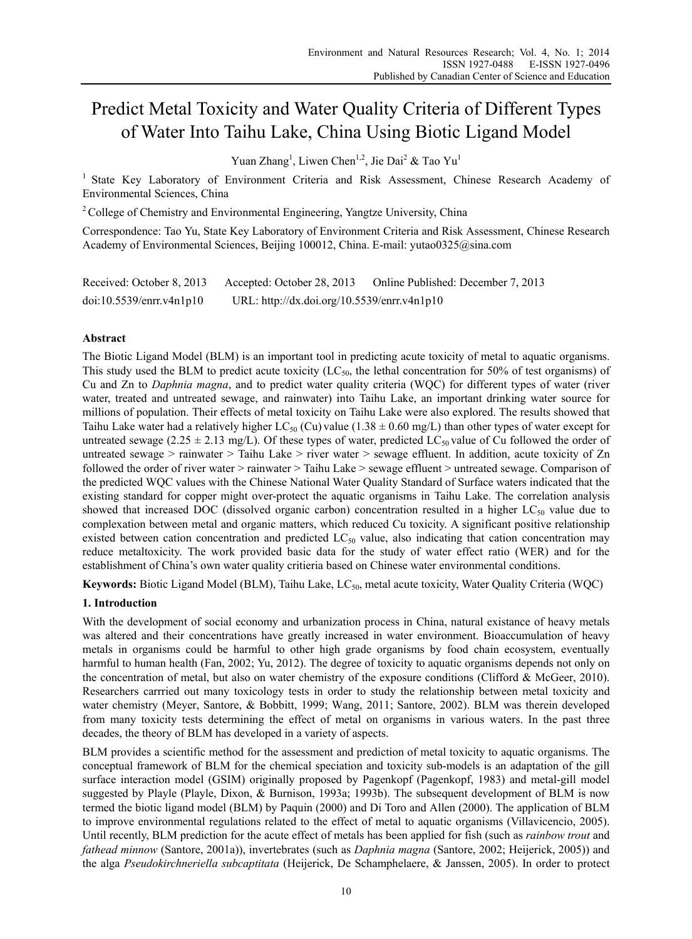# Predict Metal Toxicity and Water Quality Criteria of Different Types of Water Into Taihu Lake, China Using Biotic Ligand Model

Yuan Zhang<sup>1</sup>, Liwen Chen<sup>1,2</sup>, Jie Dai<sup>2</sup> & Tao Yu<sup>1</sup>

<sup>1</sup> State Kev Laboratory of Environment Criteria and Risk Assessment, Chinese Research Academy of Environmental Sciences, China

 $2^2$  College of Chemistry and Environmental Engineering, Yangtze University, China

Correspondence: Tao Yu, State Key Laboratory of Environment Criteria and Risk Assessment, Chinese Research Academy of Environmental Sciences, Beijing 100012, China. E-mail: yutao0325@sina.com

| Received: October 8, 2013 | Accepted: October 28, 2013                  | Online Published: December 7, 2013 |
|---------------------------|---------------------------------------------|------------------------------------|
| doi:10.5539/enrr.v4n1p10  | URL: http://dx.doi.org/10.5539/enrr.v4n1p10 |                                    |

## **Abstract**

The Biotic Ligand Model (BLM) is an important tool in predicting acute toxicity of metal to aquatic organisms. This study used the BLM to predict acute toxicity  $(LC_{50}$ , the lethal concentration for 50% of test organisms) of Cu and Zn to *Daphnia magna*, and to predict water quality criteria (WQC) for different types of water (river water, treated and untreated sewage, and rainwater) into Taihu Lake, an important drinking water source for millions of population. Their effects of metal toxicity on Taihu Lake were also explored. The results showed that Taihu Lake water had a relatively higher LC<sub>50</sub> (Cu) value (1.38  $\pm$  0.60 mg/L) than other types of water except for untreated sewage (2.25  $\pm$  2.13 mg/L). Of these types of water, predicted LC<sub>50</sub> value of Cu followed the order of untreated sewage > rainwater > Taihu Lake > river water > sewage effluent. In addition, acute toxicity of Zn followed the order of river water > rainwater > Taihu Lake > sewage effluent > untreated sewage. Comparison of the predicted WQC values with the Chinese National Water Quality Standard of Surface waters indicated that the existing standard for copper might over-protect the aquatic organisms in Taihu Lake. The correlation analysis showed that increased DOC (dissolved organic carbon) concentration resulted in a higher  $LC_{50}$  value due to complexation between metal and organic matters, which reduced Cu toxicity. A significant positive relationship existed between cation concentration and predicted  $LC_{50}$  value, also indicating that cation concentration may reduce metaltoxicity. The work provided basic data for the study of water effect ratio (WER) and for the establishment of China's own water quality critieria based on Chinese water environmental conditions.

Keywords: Biotic Ligand Model (BLM), Taihu Lake, LC<sub>50</sub>, metal acute toxicity, Water Quality Criteria (WQC)

# **1. Introduction**

With the development of social economy and urbanization process in China, natural existance of heavy metals was altered and their concentrations have greatly increased in water environment. Bioaccumulation of heavy metals in organisms could be harmful to other high grade organisms by food chain ecosystem, eventually harmful to human health (Fan, 2002; Yu, 2012). The degree of toxicity to aquatic organisms depends not only on the concentration of metal, but also on water chemistry of the exposure conditions (Clifford & McGeer, 2010). Researchers carrried out many toxicology tests in order to study the relationship between metal toxicity and water chemistry (Meyer, Santore, & Bobbitt, 1999; Wang, 2011; Santore, 2002). BLM was therein developed from many toxicity tests determining the effect of metal on organisms in various waters. In the past three decades, the theory of BLM has developed in a variety of aspects.

BLM provides a scientific method for the assessment and prediction of metal toxicity to aquatic organisms. The conceptual framework of BLM for the chemical speciation and toxicity sub-models is an adaptation of the gill surface interaction model (GSIM) originally proposed by Pagenkopf (Pagenkopf, 1983) and metal-gill model suggested by Playle (Playle, Dixon, & Burnison, 1993a; 1993b). The subsequent development of BLM is now termed the biotic ligand model (BLM) by Paquin (2000) and Di Toro and Allen (2000). The application of BLM to improve environmental regulations related to the effect of metal to aquatic organisms (Villavicencio, 2005). Until recently, BLM prediction for the acute effect of metals has been applied for fish (such as *rainbow trout* and *fathead minnow* (Santore, 2001a)), invertebrates (such as *Daphnia magna* (Santore, 2002; Heijerick, 2005)) and the alga *Pseudokirchneriella subcaptitata* (Heijerick, De Schamphelaere, & Janssen, 2005). In order to protect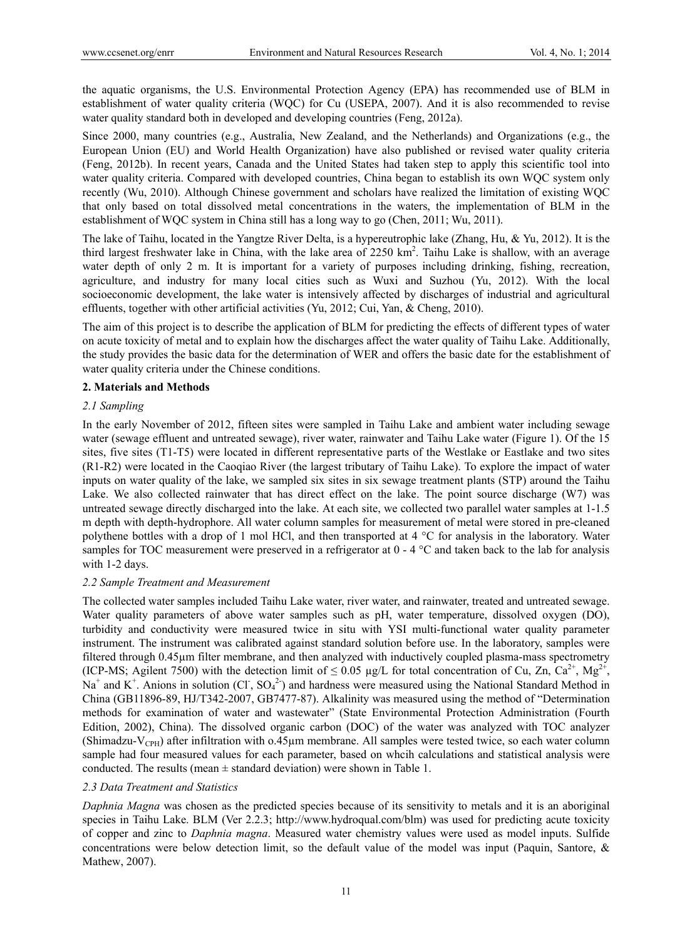the aquatic organisms, the U.S. Environmental Protection Agency (EPA) has recommended use of BLM in establishment of water quality criteria (WQC) for Cu (USEPA, 2007). And it is also recommended to revise water quality standard both in developed and developing countries (Feng, 2012a).

Since 2000, many countries (e.g., Australia, New Zealand, and the Netherlands) and Organizations (e.g., the European Union (EU) and World Health Organization) have also published or revised water quality criteria (Feng, 2012b). In recent years, Canada and the United States had taken step to apply this scientific tool into water quality criteria. Compared with developed countries, China began to establish its own WQC system only recently (Wu, 2010). Although Chinese government and scholars have realized the limitation of existing WQC that only based on total dissolved metal concentrations in the waters, the implementation of BLM in the establishment of WQC system in China still has a long way to go (Chen, 2011; Wu, 2011).

The lake of Taihu, located in the Yangtze River Delta, is a hypereutrophic lake (Zhang, Hu, & Yu, 2012). It is the third largest freshwater lake in China, with the lake area of  $2250 \text{ km}^2$ . Taihu Lake is shallow, with an average water depth of only 2 m. It is important for a variety of purposes including drinking, fishing, recreation, agriculture, and industry for many local cities such as Wuxi and Suzhou (Yu, 2012). With the local socioeconomic development, the lake water is intensively affected by discharges of industrial and agricultural effluents, together with other artificial activities (Yu, 2012; Cui, Yan, & Cheng, 2010).

The aim of this project is to describe the application of BLM for predicting the effects of different types of water on acute toxicity of metal and to explain how the discharges affect the water quality of Taihu Lake. Additionally, the study provides the basic data for the determination of WER and offers the basic date for the establishment of water quality criteria under the Chinese conditions.

## **2. Materials and Methods**

## *2.1 Sampling*

In the early November of 2012, fifteen sites were sampled in Taihu Lake and ambient water including sewage water (sewage effluent and untreated sewage), river water, rainwater and Taihu Lake water (Figure 1). Of the 15 sites, five sites (T1-T5) were located in different representative parts of the Westlake or Eastlake and two sites (R1-R2) were located in the Caoqiao River (the largest tributary of Taihu Lake). To explore the impact of water inputs on water quality of the lake, we sampled six sites in six sewage treatment plants (STP) around the Taihu Lake. We also collected rainwater that has direct effect on the lake. The point source discharge (W7) was untreated sewage directly discharged into the lake. At each site, we collected two parallel water samples at 1-1.5 m depth with depth-hydrophore. All water column samples for measurement of metal were stored in pre-cleaned polythene bottles with a drop of 1 mol HCl, and then transported at 4 °C for analysis in the laboratory. Water samples for TOC measurement were preserved in a refrigerator at  $0 - 4$  °C and taken back to the lab for analysis with 1-2 days.

## *2.2 Sample Treatment and Measurement*

The collected water samples included Taihu Lake water, river water, and rainwater, treated and untreated sewage. Water quality parameters of above water samples such as pH, water temperature, dissolved oxygen (DO), turbidity and conductivity were measured twice in situ with YSI multi-functional water quality parameter instrument. The instrument was calibrated against standard solution before use. In the laboratory, samples were filtered through 0.45µm filter membrane, and then analyzed with inductively coupled plasma-mass spectrometry (ICP-MS; Agilent 7500) with the detection limit of  $\leq 0.05$  µg/L for total concentration of Cu, Zn, Ca<sup>2+</sup>, Mg<sup>2+</sup>,  $Na<sup>+</sup>$  and  $K<sup>+</sup>$ . Anions in solution (Cl,  $SO<sub>4</sub><sup>2</sup>$ ) and hardness were measured using the National Standard Method in China (GB11896-89, HJ/T342-2007, GB7477-87). Alkalinity was measured using the method of "Determination methods for examination of water and wastewater" (State Environmental Protection Administration (Fourth Edition, 2002), China). The dissolved organic carbon (DOC) of the water was analyzed with TOC analyzer (Shimadzu-V<sub>CPH</sub>) after infiltration with  $o.45\mu$ m membrane. All samples were tested twice, so each water column sample had four measured values for each parameter, based on whcih calculations and statistical analysis were conducted. The results (mean  $\pm$  standard deviation) were shown in Table 1.

# *2.3 Data Treatment and Statistics*

*Daphnia Magna* was chosen as the predicted species because of its sensitivity to metals and it is an aboriginal species in Taihu Lake. BLM (Ver 2.2.3; http://www.hydroqual.com/blm) was used for predicting acute toxicity of copper and zinc to *Daphnia magna*. Measured water chemistry values were used as model inputs. Sulfide concentrations were below detection limit, so the default value of the model was input (Paquin, Santore, & Mathew, 2007).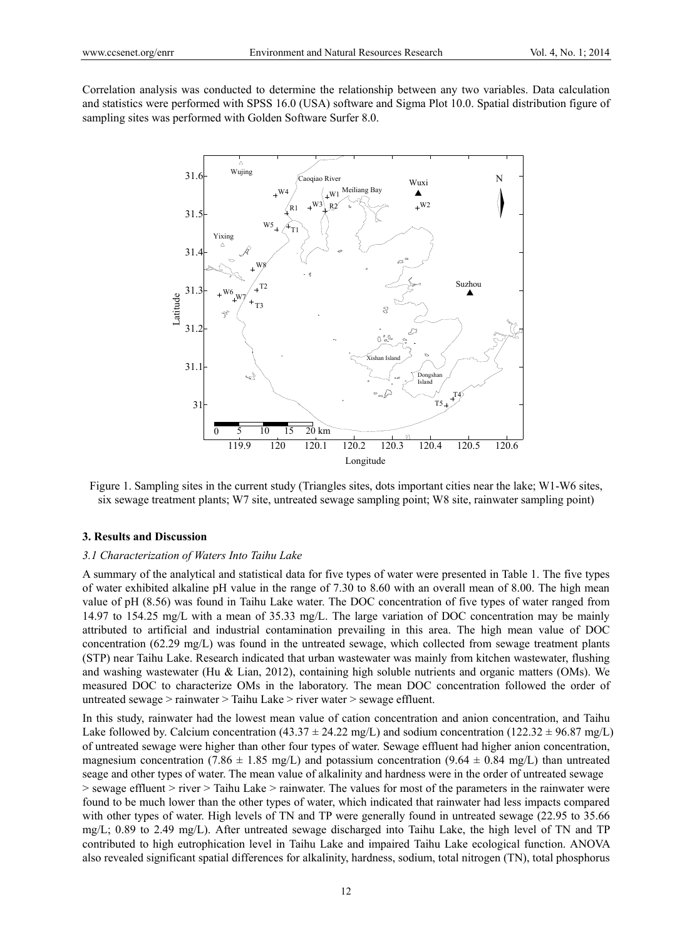Correlation analysis was conducted to determine the relationship between any two variables. Data calculation and statistics were performed with SPSS 16.0 (USA) software and Sigma Plot 10.0. Spatial distribution figure of sampling sites was performed with Golden Software Surfer 8.0.



Figure 1. Sampling sites in the current study (Triangles sites, dots important cities near the lake; W1-W6 sites, six sewage treatment plants; W7 site, untreated sewage sampling point; W8 site, rainwater sampling point)

#### **3. Results and Discussion**

#### *3.1 Characterization of Waters Into Taihu Lake*

A summary of the analytical and statistical data for five types of water were presented in Table 1. The five types of water exhibited alkaline pH value in the range of 7.30 to 8.60 with an overall mean of 8.00. The high mean value of pH (8.56) was found in Taihu Lake water. The DOC concentration of five types of water ranged from 14.97 to 154.25 mg/L with a mean of 35.33 mg/L. The large variation of DOC concentration may be mainly attributed to artificial and industrial contamination prevailing in this area. The high mean value of DOC concentration (62.29 mg/L) was found in the untreated sewage, which collected from sewage treatment plants (STP) near Taihu Lake. Research indicated that urban wastewater was mainly from kitchen wastewater, flushing and washing wastewater (Hu & Lian, 2012), containing high soluble nutrients and organic matters (OMs). We measured DOC to characterize OMs in the laboratory. The mean DOC concentration followed the order of untreated sewage > rainwater > Taihu Lake > river water > sewage effluent.

In this study, rainwater had the lowest mean value of cation concentration and anion concentration, and Taihu Lake followed by. Calcium concentration (43.37  $\pm$  24.22 mg/L) and sodium concentration (122.32  $\pm$  96.87 mg/L) of untreated sewage were higher than other four types of water. Sewage effluent had higher anion concentration, magnesium concentration (7.86  $\pm$  1.85 mg/L) and potassium concentration (9.64  $\pm$  0.84 mg/L) than untreated seage and other types of water. The mean value of alkalinity and hardness were in the order of untreated sewage > sewage effluent > river > Taihu Lake > rainwater. The values for most of the parameters in the rainwater were found to be much lower than the other types of water, which indicated that rainwater had less impacts compared with other types of water. High levels of TN and TP were generally found in untreated sewage (22.95 to 35.66) mg/L; 0.89 to 2.49 mg/L). After untreated sewage discharged into Taihu Lake, the high level of TN and TP contributed to high eutrophication level in Taihu Lake and impaired Taihu Lake ecological function. ANOVA also revealed significant spatial differences for alkalinity, hardness, sodium, total nitrogen (TN), total phosphorus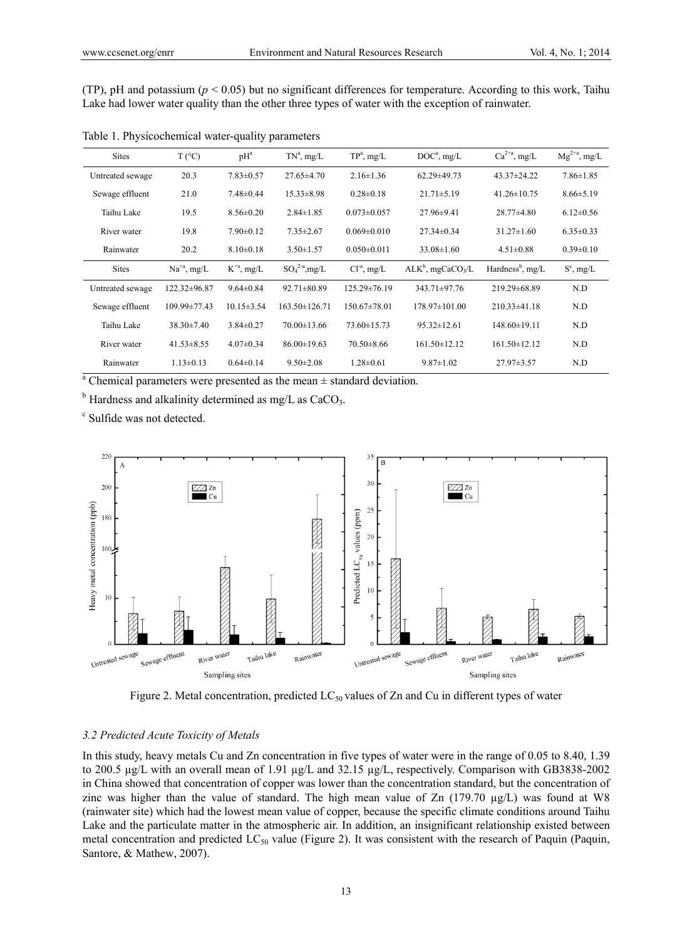(TP), pH and potassium ( $p < 0.05$ ) but no significant differences for temperature. According to this work, Taihu Lake had lower water quality than the other three types of water with the exception of rainwater.

| <b>Sites</b>     | $T (^{\circ}C)$    | $pH^a$          | $TN^a$ , mg/L      | $TP^a$ , mg/L<br>$DOC^a$ , mg/L |                                  | $Ca^{2+a}$ , mg/L              | $Mg^{2+a}$ , mg/L |
|------------------|--------------------|-----------------|--------------------|---------------------------------|----------------------------------|--------------------------------|-------------------|
| Untreated sewage | 20.3               | $7.83 \pm 0.57$ | $27.65 \pm 4.70$   | $2.16 \pm 1.36$                 | $62.29 \pm 49.73$                | $43.37 \pm 24.22$              | $7.86 \pm 1.85$   |
| Sewage effluent  | 21.0               | $7.48 \pm 0.44$ | $15.33 \pm 8.98$   | $0.28 \pm 0.18$                 | $21.71 \pm 5.19$                 | $41.26 \pm 10.75$              | $8.66 \pm 5.19$   |
| Taihu Lake       | 19.5               | $8.56 \pm 0.20$ | $2.84 \pm 1.85$    | $0.073 \pm 0.057$               | $27.96 \pm 9.41$                 | $28.77\pm4.80$                 | $6.12 \pm 0.56$   |
| River water      | 19.8               | $7.90 \pm 0.12$ | $7.35 \pm 2.67$    | $0.069 \pm 0.010$               | $27.34 \pm 0.34$                 | $31.27 \pm 1.60$               | $6.35 \pm 0.33$   |
| Rainwater        | 20.2               | $8.10\pm0.18$   | $3.50 \pm 1.57$    | $0.050 \pm 0.011$               | $33.08 \pm 1.60$                 | $4.51 \pm 0.88$                | $0.39\pm0.10$     |
| <b>Sites</b>     | $Na^{+a}$ , mg/L   | $K^{+a}$ , mg/L | $SO_4^{2-a}$ ,mg/L | $Cl-a$ , mg/L                   | $ALK^b$ , mgCaCO <sub>3</sub> /L | Hardness <sup>b</sup> , $mg/L$ | $S^c$ , mg/L      |
| Untreated sewage | $122.32\pm96.87$   | $9.64 \pm 0.84$ | $92.71 \pm 80.89$  | $125.29 \pm 76.19$              | $343.71 \pm 97.76$               | $219.29 \pm 68.89$             | N.D               |
| Sewage effluent  | $109.99 \pm 77.43$ | $10.15\pm3.54$  | $163.50\pm126.71$  | $150.67 \pm 78.01$              | $178.97\pm101.00$                | $210.33\pm41.18$               | N.D               |
| Taihu Lake       | $38.30 \pm 7.40$   | $3.84\pm0.27$   | $70.00 \pm 13.66$  | $73.60 \pm 15.73$               | $95.32 \pm 12.61$                | $148.60\pm19.11$               | N.D               |
| River water      | $41.53\pm8.55$     | $4.07 \pm 0.34$ | $86.00 \pm 19.63$  | $70.50 \pm 8.66$                | $161.50 \pm 12.12$               | $161.50 \pm 12.12$             | N.D               |
| Rainwater        | $1.13 \pm 0.13$    | $0.64 \pm 0.14$ | $9.50 \pm 2.08$    | $1.28 \pm 0.61$                 | $9.87 \pm 1.02$                  | $27.97 \pm 3.57$               | N.D               |

Table 1. Physicochemical water-quality parameters

 $a$ <sup>a</sup> Chemical parameters were presented as the mean  $\pm$  standard deviation.

 $b$  Hardness and alkalinity determined as mg/L as CaCO<sub>3</sub>.

c Sulfide was not detected.



Figure 2. Metal concentration, predicted  $LC_{50}$  values of Zn and Cu in different types of water

#### *3.2 Predicted Acute Toxicity of Metals*

In this study, heavy metals Cu and Zn concentration in five types of water were in the range of 0.05 to 8.40, 1.39 to 200.5 µg/L with an overall mean of 1.91 µg/L and 32.15 µg/L, respectively. Comparison with GB3838-2002 in China showed that concentration of copper was lower than the concentration standard, but the concentration of zinc was higher than the value of standard. The high mean value of  $\text{Zn}$  (179.70  $\mu$ g/L) was found at W8 (rainwater site) which had the lowest mean value of copper, because the specific climate conditions around Taihu Lake and the particulate matter in the atmospheric air. In addition, an insignificant relationship existed between metal concentration and predicted LC<sub>50</sub> value (Figure 2). It was consistent with the research of Paquin (Paquin, Santore, & Mathew, 2007).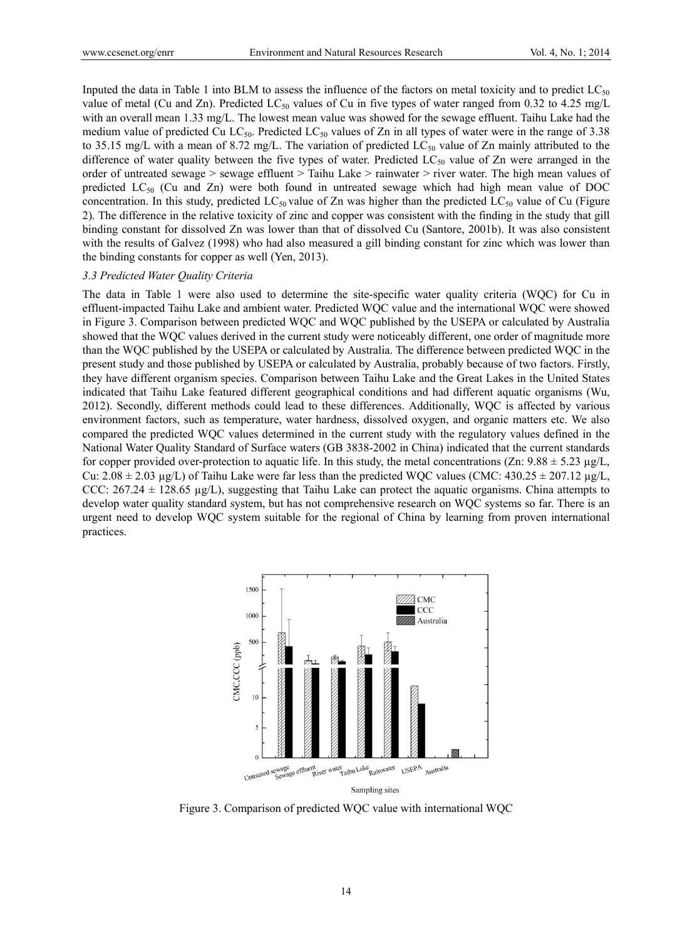Inputed the data in Table 1 into BLM to assess the influence of the factors on metal toxicity and to predict  $LC_{50}$ value of metal (Cu and Zn). Predicted LC<sub>50</sub> values of Cu in five types of water ranged from 0.32 to 4.25 mg/L with an overall mean 1.33 mg/L. The lowest mean value was showed for the sewage effluent. Taihu Lake had the medium value of predicted Cu LC<sub>50</sub>. Predicted LC<sub>50</sub> values of Zn in all types of water were in the range of 3.38 to 35.15 mg/L with a mean of 8.72 mg/L. The variation of predicted  $LC_{50}$  value of Zn mainly attributed to the difference of water quality between the five types of water. Predicted  $LC_{50}$  value of Zn were arranged in the order of untreated sewage > sewage effluent > Taihu Lake > rainwater > river water. The high mean values of predicted  $LC_{50}$  (Cu and Zn) were both found in untreated sewage which had high mean value of DOC concentration. In this study, predicted  $LC_{50}$  value of Zn was higher than the predicted  $LC_{50}$  value of Cu (Figure 2). The difference in the relative toxicity of zinc and copper was consistent with the finding in the study that gill binding constant for dissolved Zn was lower than that of dissolved Cu (Santore, 2001b). It was also consistent with the results of Galvez (1998) who had also measured a gill binding constant for zinc which was lower than the binding constants for copper as well (Yen, 2013).

### *3.3 Predicted Water Quality Criteria*

The data in Table 1 were also used to determine the site-specific water quality criteria (WQC) for Cu in effluent-impacted Taihu Lake and ambient water. Predicted WQC value and the international WQC were showed in Figure 3. Comparison between predicted WQC and WQC published by the USEPA or calculated by Australia showed that the WQC values derived in the current study were noticeably different, one order of magnitude more than the WQC published by the USEPA or calculated by Australia. The difference between predicted WQC in the present study and those published by USEPA or calculated by Australia, probably because of two factors. Firstly, they have different organism species. Comparison between Taihu Lake and the Great Lakes in the United States indicated that Taihu Lake featured different geographical conditions and had different aquatic organisms (Wu, 2012). Secondly, different methods could lead to these differences. Additionally, WQC is affected by various environment factors, such as temperature, water hardness, dissolved oxygen, and organic matters etc. We also compared the predicted WQC values determined in the current study with the regulatory values defined in the National Water Quality Standard of Surface waters (GB 3838-2002 in China) indicated that the current standards for copper provided over-protection to aquatic life. In this study, the metal concentrations (Zn:  $9.88 \pm 5.23 \mu g/L$ , Cu:  $2.08 \pm 2.03 \,\mu$ g/L) of Taihu Lake were far less than the predicted WQC values (CMC:  $430.25 \pm 207.12 \,\mu$ g/L, CCC:  $267.24 \pm 128.65$  µg/L), suggesting that Taihu Lake can protect the aquatic organisms. China attempts to develop water quality standard system, but has not comprehensive research on WQC systems so far. There is an urgent need to develop WQC system suitable for the regional of China by learning from proven international practices.



Figure 3. Comparison of predicted WQC value with international WQC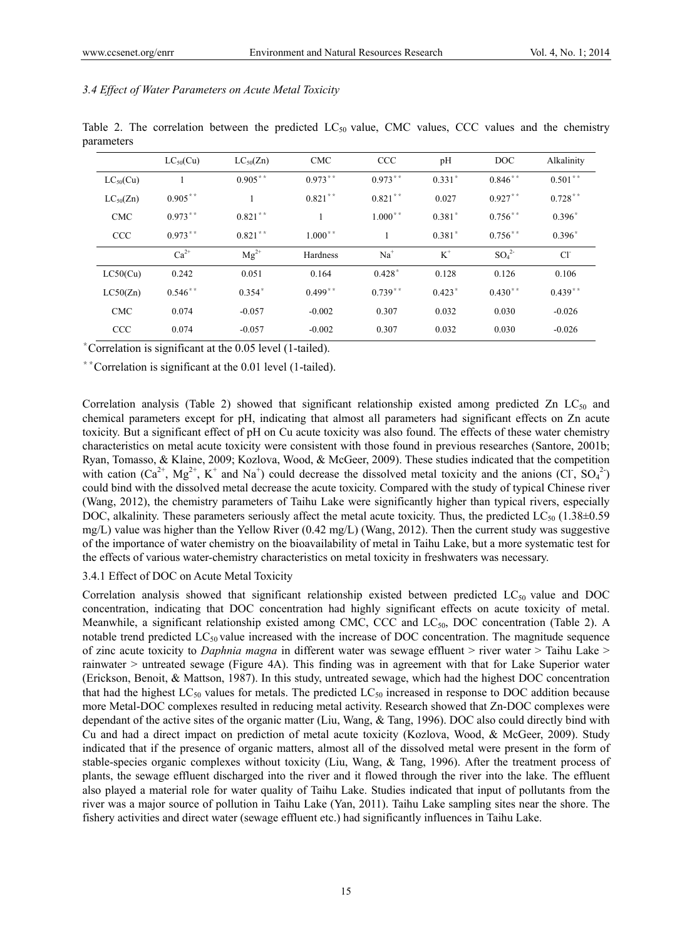|               | $LC_{50}(Cu)$ | $LC_{50}(Zn)$ | <b>CMC</b> | <b>CCC</b> | pH       | DOC                          | Alkalinity |
|---------------|---------------|---------------|------------|------------|----------|------------------------------|------------|
| $LC_{50}(Cu)$ |               | $0.905***$    | $0.973**$  | $0.973***$ | $0.331*$ | $0.846**$                    | $0.501***$ |
| $LC_{50}(Zn)$ | $0.905***$    | $\mathbf{1}$  | $0.821***$ | $0.821***$ | 0.027    | $0.927***$                   | $0.728***$ |
| <b>CMC</b>    | $0.973***$    | $0.821***$    |            | $1.000**$  | $0.381*$ | $0.756***$                   | $0.396*$   |
| <b>CCC</b>    | $0.973**$     | $0.821***$    | $1.000**$  |            | $0.381*$ | $0.756***$                   | $0.396*$   |
| $Ca^{2+}$     |               | $Mg^{2+}$     | Hardness   | $Na+$      | $K^+$    | SO <sub>4</sub> <sup>2</sup> | $Cl-$      |
| LC50(Cu)      | 0.242         | 0.051         | 0.164      | $0.428*$   | 0.128    | 0.126                        | 0.106      |
| LC50(Zn)      | $0.546**$     | $0.354*$      | $0.499**$  | $0.739**$  | $0.423*$ | $0.430**$                    | $0.439**$  |
| <b>CMC</b>    | 0.074         | $-0.057$      | $-0.002$   | 0.307      | 0.032    | 0.030                        | $-0.026$   |
| <b>CCC</b>    | 0.074         | $-0.057$      | $-0.002$   | 0.307      | 0.032    | 0.030                        | $-0.026$   |

## *3.4 Effect of Water Parameters on Acute Metal Toxicity*

Table 2. The correlation between the predicted  $LC_{50}$  value, CMC values, CCC values and the chemistry parameters

\* Correlation is significant at the 0.05 level (1-tailed).

\*\*Correlation is significant at the 0.01 level (1-tailed).

Correlation analysis (Table 2) showed that significant relationship existed among predicted Zn  $LC_{50}$  and chemical parameters except for pH, indicating that almost all parameters had significant effects on Zn acute toxicity. But a significant effect of pH on Cu acute toxicity was also found. The effects of these water chemistry characteristics on metal acute toxicity were consistent with those found in previous researches (Santore, 2001b; Ryan, Tomasso, & Klaine, 2009; Kozlova, Wood, & McGeer, 2009). These studies indicated that the competition with cation  $(Ca^{2+}, Mg^{2+}, K^+$  and Na<sup>+</sup>) could decrease the dissolved metal toxicity and the anions  $(Cl^-, SO_4^{\,2-})$ could bind with the dissolved metal decrease the acute toxicity. Compared with the study of typical Chinese river (Wang, 2012), the chemistry parameters of Taihu Lake were significantly higher than typical rivers, especially DOC, alkalinity. These parameters seriously affect the metal acute toxicity. Thus, the predicted  $LC_{50}$  (1.38±0.59 mg/L) value was higher than the Yellow River (0.42 mg/L) (Wang, 2012). Then the current study was suggestive of the importance of water chemistry on the bioavailability of metal in Taihu Lake, but a more systematic test for the effects of various water-chemistry characteristics on metal toxicity in freshwaters was necessary.

#### 3.4.1 Effect of DOC on Acute Metal Toxicity

Correlation analysis showed that significant relationship existed between predicted  $LC_{50}$  value and DOC concentration, indicating that DOC concentration had highly significant effects on acute toxicity of metal. Meanwhile, a significant relationship existed among CMC, CCC and  $LC_{50}$ , DOC concentration (Table 2). A notable trend predicted  $LC_{50}$  value increased with the increase of DOC concentration. The magnitude sequence of zinc acute toxicity to *Daphnia magna* in different water was sewage effluent > river water > Taihu Lake > rainwater > untreated sewage (Figure 4A). This finding was in agreement with that for Lake Superior water (Erickson, Benoit, & Mattson, 1987). In this study, untreated sewage, which had the highest DOC concentration that had the highest  $LC_{50}$  values for metals. The predicted  $LC_{50}$  increased in response to DOC addition because more Metal-DOC complexes resulted in reducing metal activity. Research showed that Zn-DOC complexes were dependant of the active sites of the organic matter (Liu, Wang, & Tang, 1996). DOC also could directly bind with Cu and had a direct impact on prediction of metal acute toxicity (Kozlova, Wood, & McGeer, 2009). Study indicated that if the presence of organic matters, almost all of the dissolved metal were present in the form of stable-species organic complexes without toxicity (Liu, Wang, & Tang, 1996). After the treatment process of plants, the sewage effluent discharged into the river and it flowed through the river into the lake. The effluent also played a material role for water quality of Taihu Lake. Studies indicated that input of pollutants from the river was a major source of pollution in Taihu Lake (Yan, 2011). Taihu Lake sampling sites near the shore. The fishery activities and direct water (sewage effluent etc.) had significantly influences in Taihu Lake.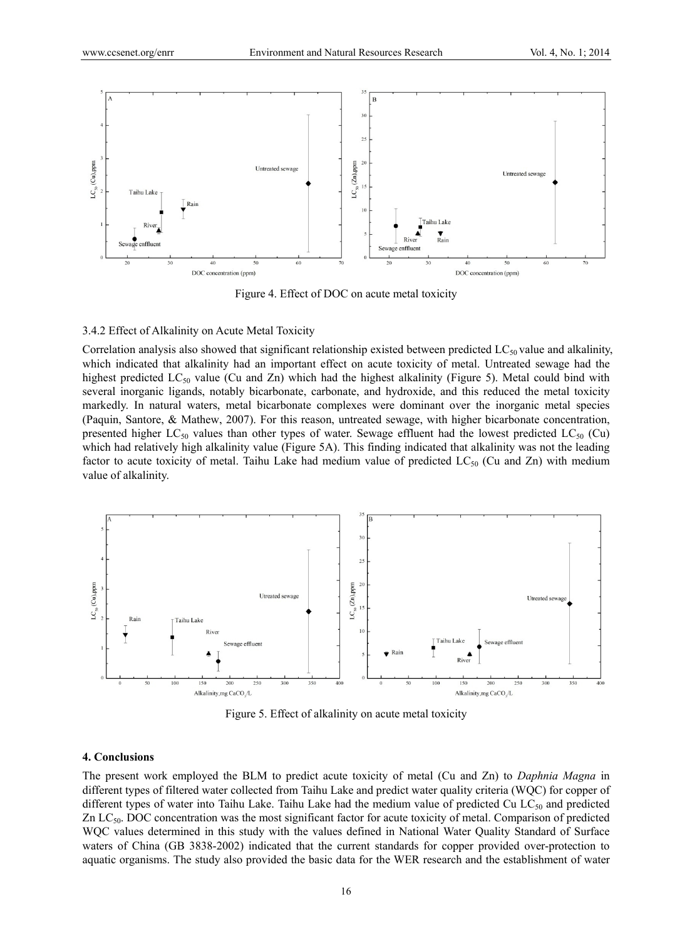

Figure 4. Effect of DOC on acute metal toxicity

#### 3.4.2 Effect of Alkalinity on Acute Metal Toxicity

Correlation analysis also showed that significant relationship existed between predicted  $LC_{50}$  value and alkalinity, which indicated that alkalinity had an important effect on acute toxicity of metal. Untreated sewage had the highest predicted  $LC_{50}$  value (Cu and Zn) which had the highest alkalinity (Figure 5). Metal could bind with several inorganic ligands, notably bicarbonate, carbonate, and hydroxide, and this reduced the metal toxicity markedly. In natural waters, metal bicarbonate complexes were dominant over the inorganic metal species (Paquin, Santore, & Mathew, 2007). For this reason, untreated sewage, with higher bicarbonate concentration, presented higher  $LC_{50}$  values than other types of water. Sewage effluent had the lowest predicted  $LC_{50}$  (Cu) which had relatively high alkalinity value (Figure 5A). This finding indicated that alkalinity was not the leading factor to acute toxicity of metal. Taihu Lake had medium value of predicted  $LC_{50}$  (Cu and Zn) with medium value of alkalinity.



Figure 5. Effect of alkalinity on acute metal toxicity

#### **4. Conclusions**

The present work employed the BLM to predict acute toxicity of metal (Cu and Zn) to *Daphnia Magna* in different types of filtered water collected from Taihu Lake and predict water quality criteria (WQC) for copper of different types of water into Taihu Lake. Taihu Lake had the medium value of predicted Cu  $LC_{50}$  and predicted  $Zn$  LC<sub>50</sub>. DOC concentration was the most significant factor for acute toxicity of metal. Comparison of predicted WQC values determined in this study with the values defined in National Water Quality Standard of Surface waters of China (GB 3838-2002) indicated that the current standards for copper provided over-protection to aquatic organisms. The study also provided the basic data for the WER research and the establishment of water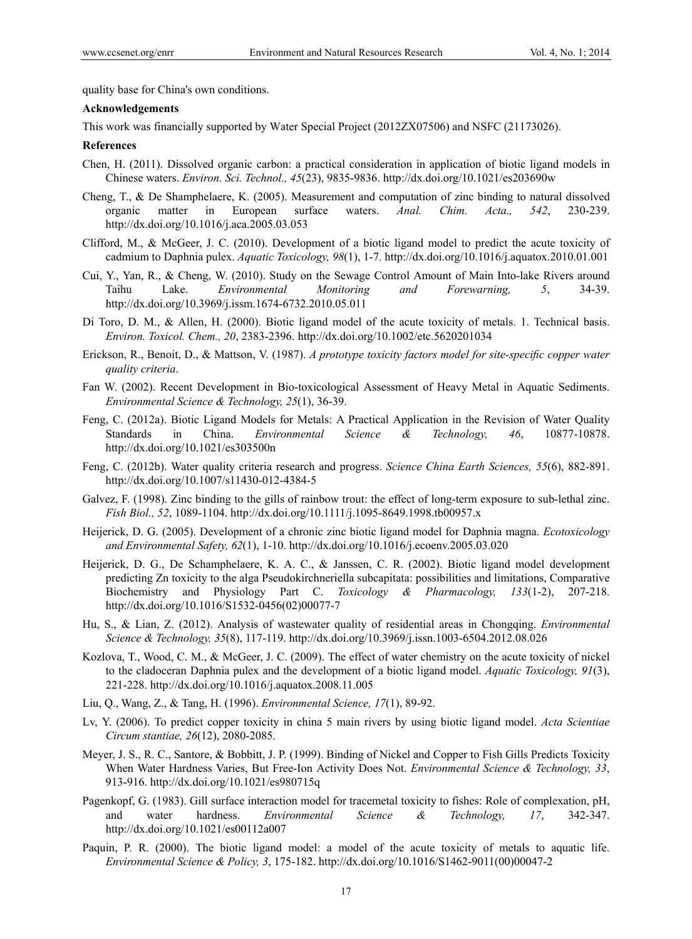quality base for China's own conditions.

#### **Acknowledgements**

This work was financially supported by Water Special Project (2012ZX07506) and NSFC (21173026).

#### **References**

- Chen, H. (2011). Dissolved organic carbon: a practical consideration in application of biotic ligand models in Chinese waters. *Environ. Sci. Technol., 45*(23), 9835-9836. http://dx.doi.org/10.1021/es203690w
- Cheng, T., & De Shamphelaere, K. (2005). Measurement and computation of zinc binding to natural dissolved organic matter in European surface waters. *Anal. Chim. Acta., 542*, 230-239. http://dx.doi.org/10.1016/j.aca.2005.03.053
- Clifford, M., & McGeer, J. C. (2010). Development of a biotic ligand model to predict the acute toxicity of cadmium to Daphnia pulex. *Aquatic Toxicology, 98*(1), 1-7. http://dx.doi.org/10.1016/j.aquatox.2010.01.001
- Cui, Y., Yan, R., & Cheng, W. (2010). Study on the Sewage Control Amount of Main Into-lake Rivers around Taihu Lake. *Environmental Monitoring and Forewarning, 5*, 34-39. http://dx.doi.org/10.3969/j.issm.1674-6732.2010.05.011
- Di Toro, D. M., & Allen, H. (2000). Biotic ligand model of the acute toxicity of metals. 1. Technical basis. *Environ. Toxicol. Chem., 20*, 2383-2396. http://dx.doi.org/10.1002/etc.5620201034
- Erickson, R., Benoit, D., & Mattson, V. (1987). *A prototype toxicity factors model for site-specific copper water quality criteria*.
- Fan W. (2002). Recent Development in Bio-toxicological Assessment of Heavy Metal in Aquatic Sediments. *Environmental Science & Technology, 25*(1), 36-39.
- Feng, C. (2012a). Biotic Ligand Models for Metals: A Practical Application in the Revision of Water Quality Standards in China. *Environmental Science & Technology, 46*, 10877-10878. http://dx.doi.org/10.1021/es303500n
- Feng, C. (2012b). Water quality criteria research and progress. *Science China Earth Sciences, 55*(6), 882-891. http://dx.doi.org/10.1007/s11430-012-4384-5
- Galvez, F. (1998). Zinc binding to the gills of rainbow trout: the effect of long-term exposure to sub-lethal zinc. *Fish Biol., 52*, 1089-1104. http://dx.doi.org/10.1111/j.1095-8649.1998.tb00957.x
- Heijerick, D. G. (2005). Development of a chronic zinc biotic ligand model for Daphnia magna. *Ecotoxicology and Environmental Safety, 62*(1), 1-10. http://dx.doi.org/10.1016/j.ecoenv.2005.03.020
- Heijerick, D. G., De Schamphelaere, K. A. C., & Janssen, C. R. (2002). Biotic ligand model development predicting Zn toxicity to the alga Pseudokirchneriella subcapitata: possibilities and limitations, Comparative Biochemistry and Physiology Part C. *Toxicology & Pharmacology, 133*(1-2), 207-218. http://dx.doi.org/10.1016/S1532-0456(02)00077-7
- Hu, S., & Lian, Z. (2012). Analysis of wastewater quality of residential areas in Chongqing. *Environmental Science & Technology, 35*(8), 117-119. http://dx.doi.org/10.3969/j.issn.1003-6504.2012.08.026
- Kozlova, T., Wood, C. M., & McGeer, J. C. (2009). The effect of water chemistry on the acute toxicity of nickel to the cladoceran Daphnia pulex and the development of a biotic ligand model. *Aquatic Toxicology, 91*(3), 221-228. http://dx.doi.org/10.1016/j.aquatox.2008.11.005
- Liu, Q., Wang, Z., & Tang, H. (1996). *Environmental Science, 17*(1), 89-92.
- Lv, Y. (2006). To predict copper toxicity in china 5 main rivers by using biotic ligand model. *Acta Scientiae Circum stantiae, 26*(12), 2080-2085.
- Meyer, J. S., R. C., Santore, & Bobbitt, J. P. (1999). Binding of Nickel and Copper to Fish Gills Predicts Toxicity When Water Hardness Varies, But Free-Ion Activity Does Not. *Environmental Science & Technology, 33*, 913-916. http://dx.doi.org/10.1021/es980715q
- Pagenkopf, G. (1983). Gill surface interaction model for tracemetal toxicity to fishes: Role of complexation, pH, and water hardness. *Environmental Science & Technology, 17*, 342-347. http://dx.doi.org/10.1021/es00112a007
- Paquin, P. R. (2000). The biotic ligand model: a model of the acute toxicity of metals to aquatic life. *Environmental Science & Policy, 3*, 175-182. http://dx.doi.org/10.1016/S1462-9011(00)00047-2